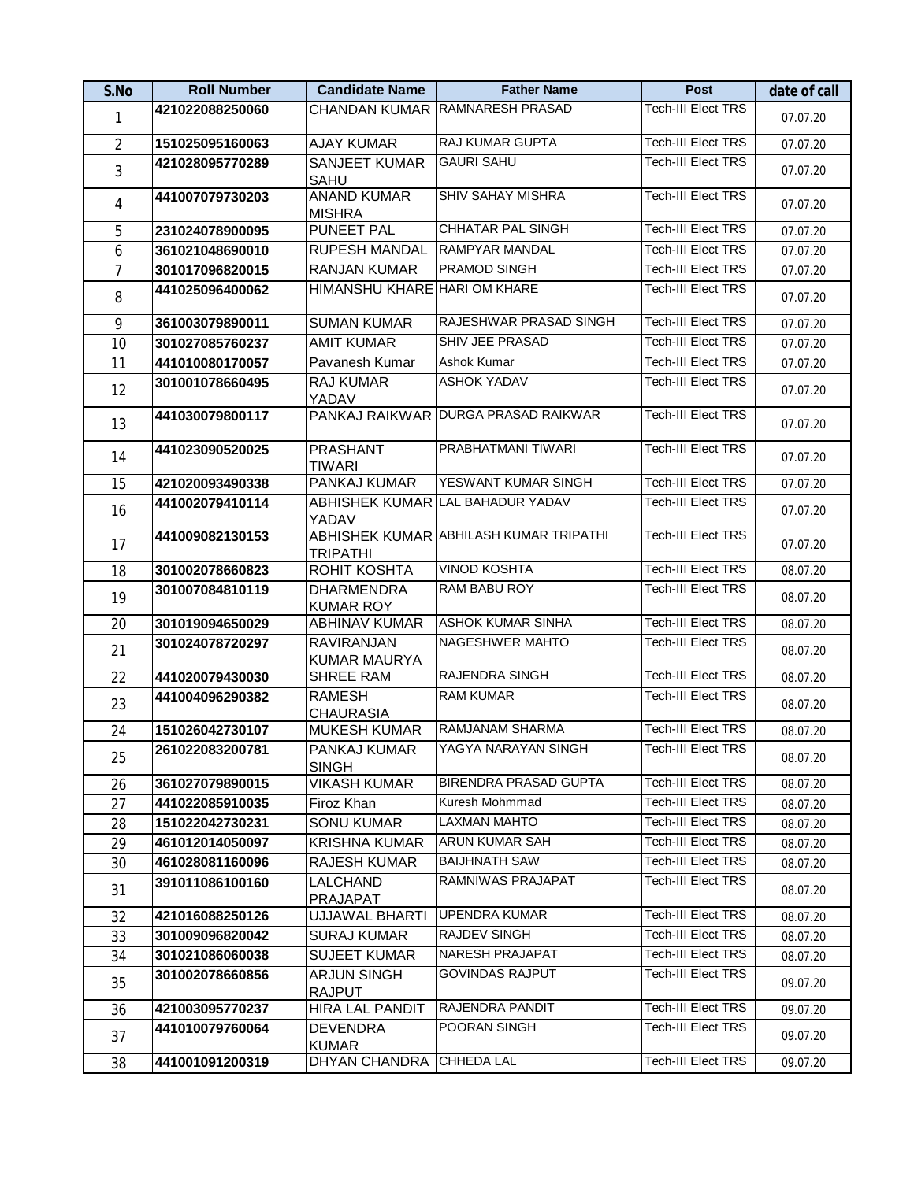| S.No           | <b>Roll Number</b> | <b>Candidate Name</b>                    | <b>Father Name</b>                     | Post                      | date of call |
|----------------|--------------------|------------------------------------------|----------------------------------------|---------------------------|--------------|
| 1              | 421022088250060    |                                          | CHANDAN KUMAR RAMNARESH PRASAD         | <b>Tech-III Elect TRS</b> | 07.07.20     |
| $\overline{2}$ | 151025095160063    | <b>AJAY KUMAR</b>                        | RAJ KUMAR GUPTA                        | <b>Tech-III Elect TRS</b> | 07.07.20     |
| 3              | 421028095770289    | <b>SANJEET KUMAR</b><br><b>SAHU</b>      | <b>GAURI SAHU</b>                      | <b>Tech-III Elect TRS</b> | 07.07.20     |
| 4              | 441007079730203    | <b>ANAND KUMAR</b><br><b>MISHRA</b>      | <b>SHIV SAHAY MISHRA</b>               | <b>Tech-III Elect TRS</b> | 07.07.20     |
| 5              | 231024078900095    | <b>PUNEET PAL</b>                        | <b>CHHATAR PAL SINGH</b>               | <b>Tech-III Elect TRS</b> | 07.07.20     |
| 6              | 361021048690010    | RUPESH MANDAL                            | <b>RAMPYAR MANDAL</b>                  | Tech-III Elect TRS        | 07.07.20     |
| $\overline{1}$ | 301017096820015    | <b>RANJAN KUMAR</b>                      | PRAMOD SINGH                           | Tech-III Elect TRS        | 07.07.20     |
| 8              | 441025096400062    | HIMANSHU KHARE HARI OM KHARE             |                                        | <b>Tech-III Elect TRS</b> | 07.07.20     |
| 9              | 361003079890011    | <b>SUMAN KUMAR</b>                       | RAJESHWAR PRASAD SINGH                 | <b>Tech-III Elect TRS</b> | 07.07.20     |
| 10             | 301027085760237    | <b>AMIT KUMAR</b>                        | SHIV JEE PRASAD                        | <b>Tech-III Elect TRS</b> | 07.07.20     |
| 11             | 441010080170057    | Pavanesh Kumar                           | Ashok Kumar                            | Tech-III Elect TRS        | 07.07.20     |
| 12             | 301001078660495    | RAJ KUMAR<br>YADAV                       | <b>ASHOK YADAV</b>                     | <b>Tech-III Elect TRS</b> | 07.07.20     |
| 13             | 441030079800117    |                                          | PANKAJ RAIKWAR DURGA PRASAD RAIKWAR    | Tech-III Elect TRS        | 07.07.20     |
| 14             | 441023090520025    | <b>PRASHANT</b><br><b>TIWARI</b>         | PRABHATMANI TIWARI                     | <b>Tech-III Elect TRS</b> | 07.07.20     |
| 15             | 421020093490338    | PANKAJ KUMAR                             | YESWANT KUMAR SINGH                    | <b>Tech-III Elect TRS</b> | 07.07.20     |
| 16             | 441002079410114    | YADAV                                    | ABHISHEK KUMAR LAL BAHADUR YADAV       | Tech-III Elect TRS        | 07.07.20     |
| 17             | 441009082130153    | <b>TRIPATHI</b>                          | ABHISHEK KUMAR ABHILASH KUMAR TRIPATHI | <b>Tech-III Elect TRS</b> | 07.07.20     |
| 18             | 301002078660823    | ROHIT KOSHTA                             | <b>VINOD KOSHTA</b>                    | <b>Tech-III Elect TRS</b> | 08.07.20     |
| 19             | 301007084810119    | <b>DHARMENDRA</b><br><b>KUMAR ROY</b>    | RAM BABU ROY                           | <b>Tech-III Elect TRS</b> | 08.07.20     |
| 20             | 301019094650029    | <b>ABHINAV KUMAR</b>                     | <b>ASHOK KUMAR SINHA</b>               | <b>Tech-III Elect TRS</b> | 08.07.20     |
| 21             | 301024078720297    | <b>RAVIRANJAN</b><br><b>KUMAR MAURYA</b> | <b>NAGESHWER MAHTO</b>                 | Tech-III Elect TRS        | 08.07.20     |
| 22             | 441020079430030    | SHREE RAM                                | RAJENDRA SINGH                         | <b>Tech-III Elect TRS</b> | 08.07.20     |
| 23             | 441004096290382    | <b>RAMESH</b><br><b>CHAURASIA</b>        | <b>RAM KUMAR</b>                       | Tech-III Elect TRS        | 08.07.20     |
| 24             | 151026042730107    | <b>MUKESH KUMAR</b>                      | RAMJANAM SHARMA                        | <b>Tech-III Elect TRS</b> | 08.07.20     |
| 25             | 261022083200781    | PANKAJ KUMAR<br><b>SINGH</b>             | YAGYA NARAYAN SINGH                    | <b>Tech-III Elect TRS</b> | 08.07.20     |
| 26             | 361027079890015    | <b>VIKASH KUMAR</b>                      | <b>BIRENDRA PRASAD GUPTA</b>           | <b>Tech-III Elect TRS</b> | 08.07.20     |
| 27             | 441022085910035    | Firoz Khan                               | Kuresh Mohmmad                         | <b>Tech-III Elect TRS</b> | 08.07.20     |
| 28             | 151022042730231    | <b>SONU KUMAR</b>                        | <b>LAXMAN MAHTO</b>                    | <b>Tech-III Elect TRS</b> | 08.07.20     |
| 29             | 461012014050097    | <b>KRISHNA KUMAR</b>                     | <b>ARUN KUMAR SAH</b>                  | <b>Tech-III Elect TRS</b> | 08.07.20     |
| 30             | 461028081160096    | <b>RAJESH KUMAR</b>                      | <b>BAIJHNATH SAW</b>                   | Tech-III Elect TRS        | 08.07.20     |
| 31             | 391011086100160    | <b>LALCHAND</b><br>PRAJAPAT              | RAMNIWAS PRAJAPAT                      | <b>Tech-III Elect TRS</b> | 08.07.20     |
| 32             | 421016088250126    | <b>UJJAWAL BHARTI</b>                    | <b>UPENDRA KUMAR</b>                   | <b>Tech-III Elect TRS</b> | 08.07.20     |
| 33             | 301009096820042    | <b>SURAJ KUMAR</b>                       | <b>RAJDEV SINGH</b>                    | <b>Tech-III Elect TRS</b> | 08.07.20     |
| 34             | 301021086060038    | <b>SUJEET KUMAR</b>                      | <b>NARESH PRAJAPAT</b>                 | Tech-III Elect TRS        | 08.07.20     |
| 35             | 301002078660856    | <b>ARJUN SINGH</b><br><b>RAJPUT</b>      | <b>GOVINDAS RAJPUT</b>                 | Tech-III Elect TRS        | 09.07.20     |
| 36             | 421003095770237    | <b>HIRA LAL PANDIT</b>                   | RAJENDRA PANDIT                        | Tech-III Elect TRS        | 09.07.20     |
| 37             | 441010079760064    | <b>DEVENDRA</b><br><b>KUMAR</b>          | POORAN SINGH                           | <b>Tech-III Elect TRS</b> | 09.07.20     |
| 38             | 441001091200319    | DHYAN CHANDRA                            | <b>CHHEDA LAL</b>                      | Tech-III Elect TRS        | 09.07.20     |